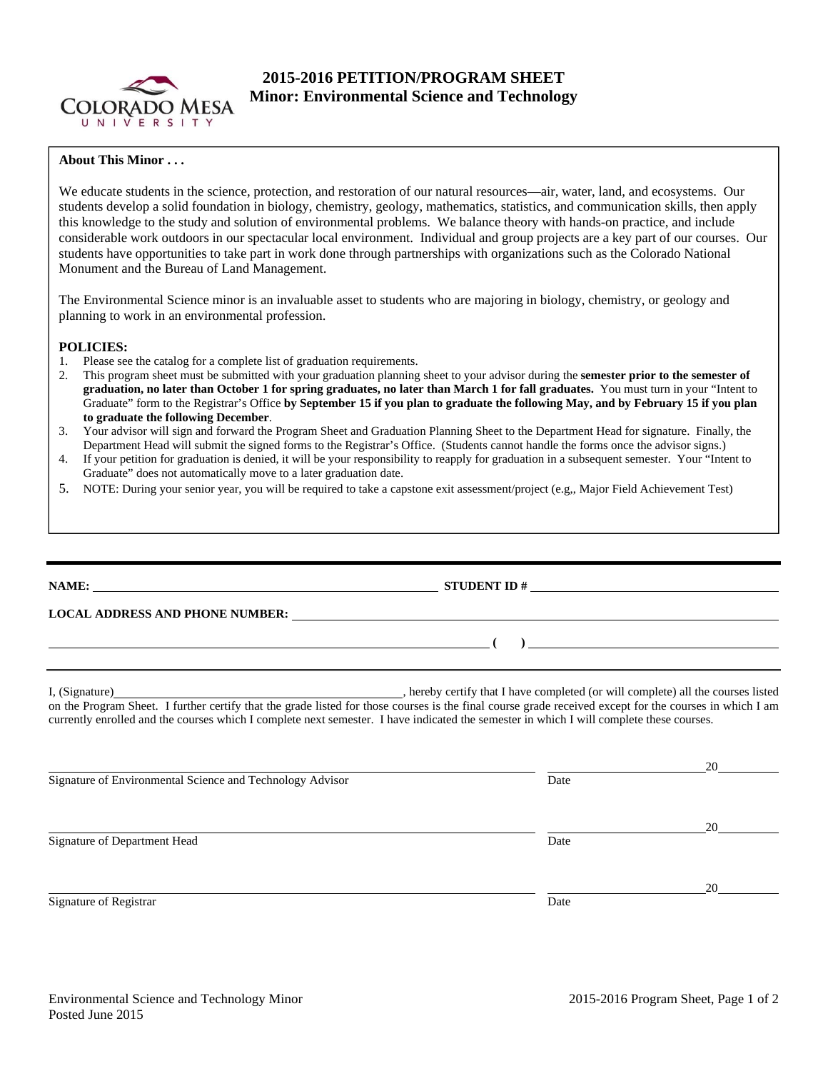

# **2015-2016 PETITION/PROGRAM SHEET Minor: Environmental Science and Technology**

## **About This Minor . . .**

We educate students in the science, protection, and restoration of our natural resources—air, water, land, and ecosystems. Our students develop a solid foundation in biology, chemistry, geology, mathematics, statistics, and communication skills, then apply this knowledge to the study and solution of environmental problems. We balance theory with hands-on practice, and include considerable work outdoors in our spectacular local environment. Individual and group projects are a key part of our courses. Our students have opportunities to take part in work done through partnerships with organizations such as the Colorado National Monument and the Bureau of Land Management.

The Environmental Science minor is an invaluable asset to students who are majoring in biology, chemistry, or geology and planning to work in an environmental profession.

## **POLICIES:**

- 1. Please see the catalog for a complete list of graduation requirements.
- 2. This program sheet must be submitted with your graduation planning sheet to your advisor during the **semester prior to the semester of graduation, no later than October 1 for spring graduates, no later than March 1 for fall graduates.** You must turn in your "Intent to Graduate" form to the Registrar's Office **by September 15 if you plan to graduate the following May, and by February 15 if you plan to graduate the following December**.
- 3. Your advisor will sign and forward the Program Sheet and Graduation Planning Sheet to the Department Head for signature. Finally, the Department Head will submit the signed forms to the Registrar's Office. (Students cannot handle the forms once the advisor signs.)
- 4. If your petition for graduation is denied, it will be your responsibility to reapply for graduation in a subsequent semester. Your "Intent to Graduate" does not automatically move to a later graduation date.
- 5. NOTE: During your senior year, you will be required to take a capstone exit assessment/project (e.g,, Major Field Achievement Test)

## **NAME: STUDENT ID #**

 **( )** 

## **LOCAL ADDRESS AND PHONE NUMBER:**

I, (Signature) , hereby certify that I have completed (or will complete) all the courses listed on the Program Sheet. I further certify that the grade listed for those courses is the final course grade received except for the courses in which I am currently enrolled and the courses which I complete next semester. I have indicated the semester in which I will complete these courses.

|                                                           |      | 20 |  |  |
|-----------------------------------------------------------|------|----|--|--|
| Signature of Environmental Science and Technology Advisor | Date |    |  |  |
|                                                           |      | 20 |  |  |
| Signature of Department Head                              | Date |    |  |  |
|                                                           |      | 20 |  |  |
| Signature of Registrar                                    | Date |    |  |  |